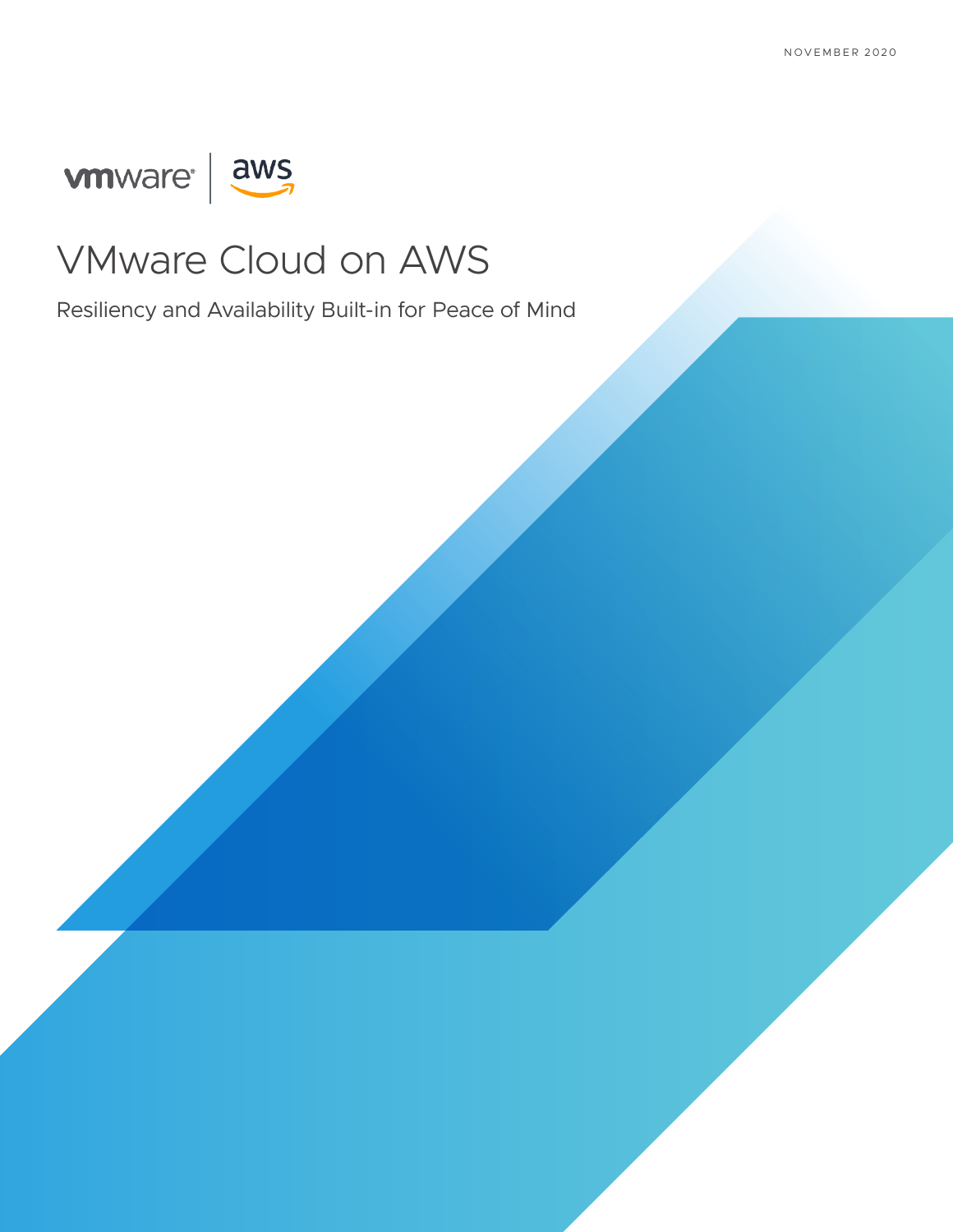# ware aws



# VMware Cloud on AWS

Resiliency and Availability Built-in for Peace of Mind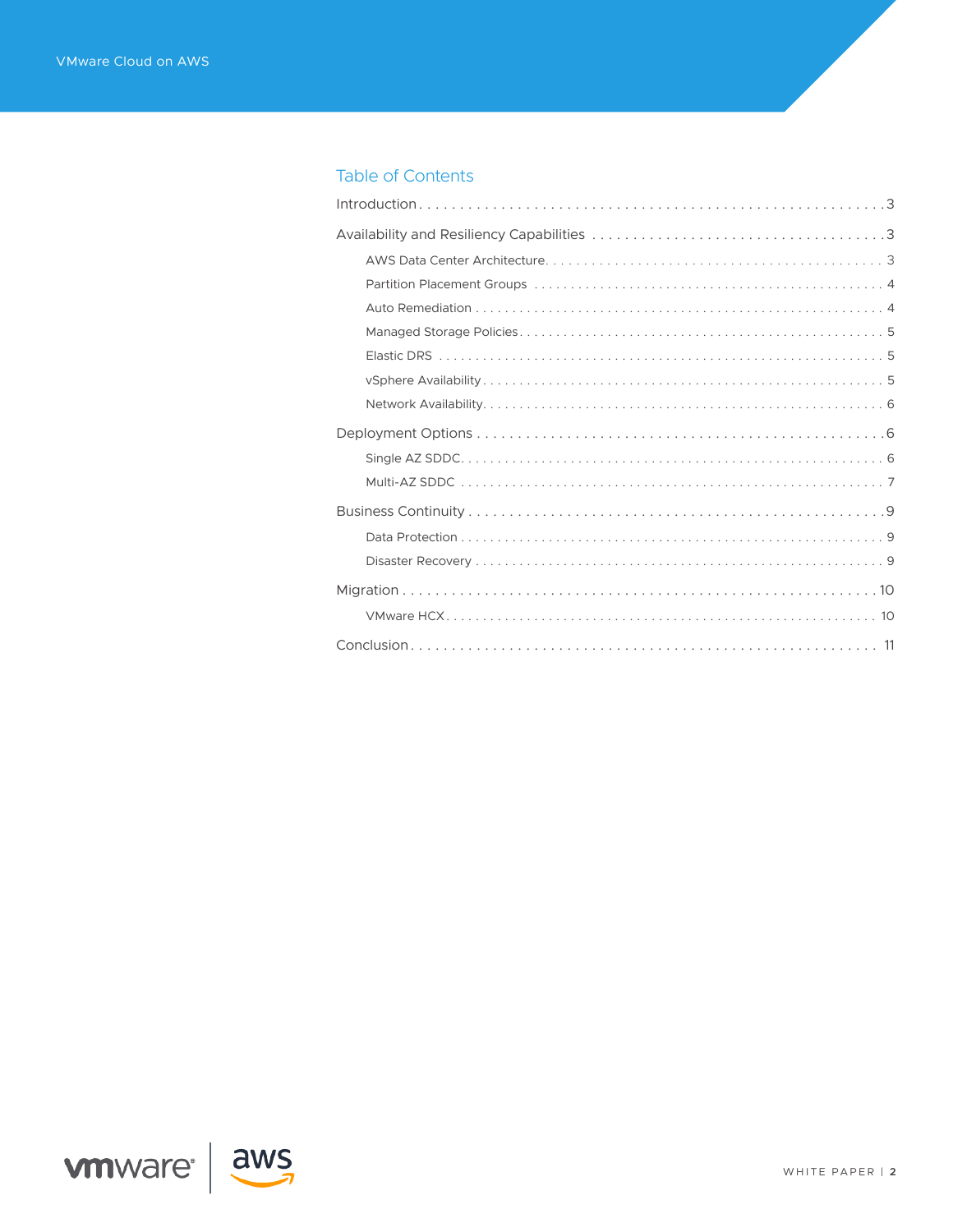# **Table of Contents**



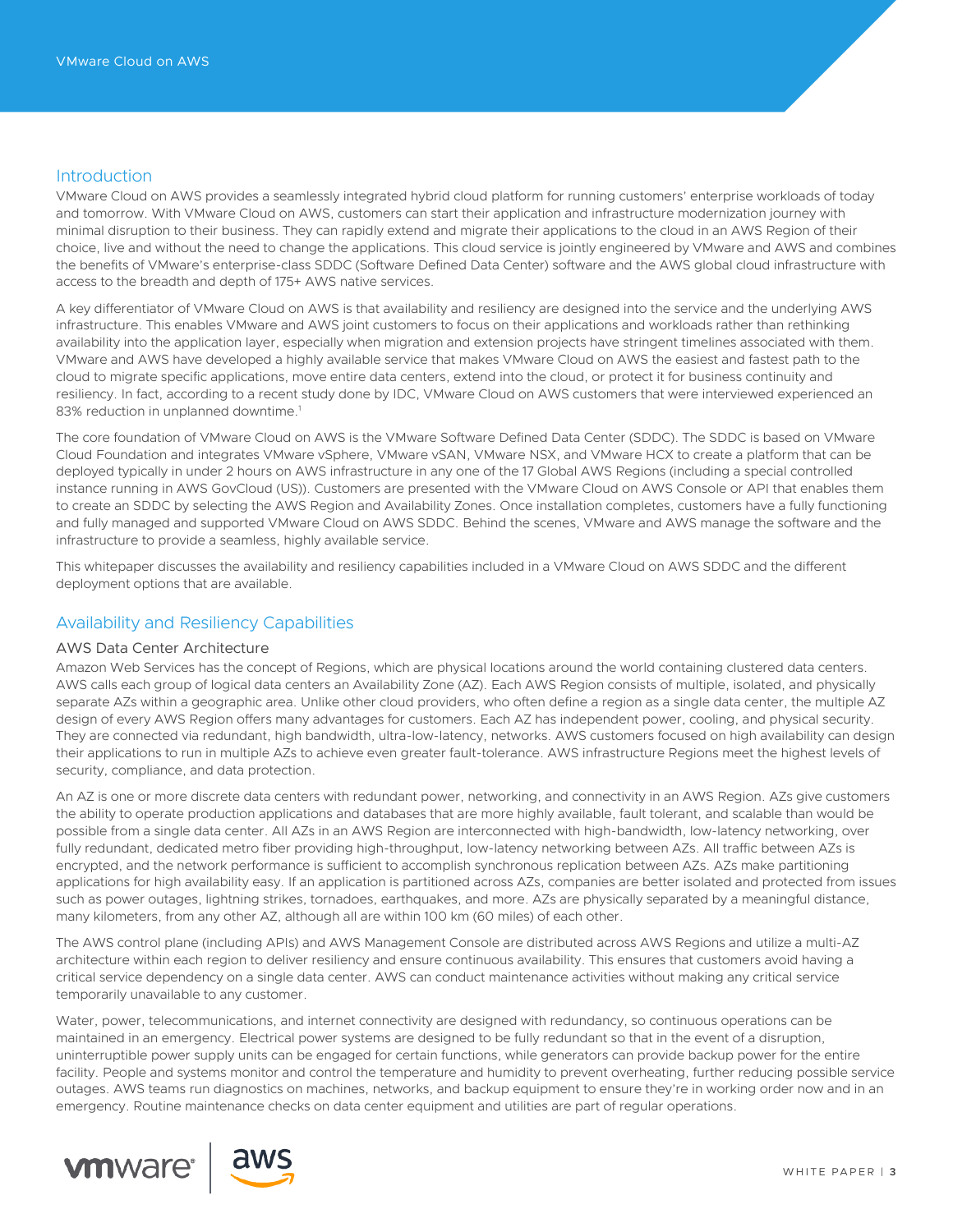# <span id="page-2-0"></span>Introduction

VMware Cloud on AWS provides a seamlessly integrated hybrid cloud platform for running customers' enterprise workloads of today and tomorrow. With VMware Cloud on AWS, customers can start their application and infrastructure modernization journey with minimal disruption to their business. They can rapidly extend and migrate their applications to the cloud in an AWS Region of their choice, live and without the need to change the applications. This cloud service is jointly engineered by VMware and AWS and combines the benefits of VMware's enterprise-class SDDC (Software Defined Data Center) software and the AWS global cloud infrastructure with access to the breadth and depth of 175+ AWS native services.

A key differentiator of VMware Cloud on AWS is that availability and resiliency are designed into the service and the underlying AWS infrastructure. This enables VMware and AWS joint customers to focus on their applications and workloads rather than rethinking availability into the application layer, especially when migration and extension projects have stringent timelines associated with them. VMware and AWS have developed a highly available service that makes VMware Cloud on AWS the easiest and fastest path to the cloud to migrate specific applications, move entire data centers, extend into the cloud, or protect it for business continuity and resiliency. In fact, according to a recent study done by IDC, VMware Cloud on AWS customers that were interviewed experienced an 83% reduction in unplanned downtime.<sup>1</sup>

The core foundation of VMware Cloud on AWS is the VMware Software Defined Data Center (SDDC). The SDDC is based on VMware Cloud Foundation and integrates VMware vSphere, VMware vSAN, VMware NSX, and VMware HCX to create a platform that can be deployed typically in under 2 hours on AWS infrastructure in any one of the 17 Global AWS Regions (including a special controlled instance running in AWS GovCloud (US)). Customers are presented with the VMware Cloud on AWS Console or API that enables them to create an SDDC by selecting the AWS Region and Availability Zones. Once installation completes, customers have a fully functioning and fully managed and supported VMware Cloud on AWS SDDC. Behind the scenes, VMware and AWS manage the software and the infrastructure to provide a seamless, highly available service.

This whitepaper discusses the availability and resiliency capabilities included in a VMware Cloud on AWS SDDC and the different deployment options that are available.

# Availability and Resiliency Capabilities

# AWS Data Center Architecture

Amazon Web Services has the concept of Regions, which are physical locations around the world containing clustered data centers. AWS calls each group of logical data centers an Availability Zone (AZ). Each AWS Region consists of multiple, isolated, and physically separate AZs within a geographic area. Unlike other cloud providers, who often define a region as a single data center, the multiple AZ design of every AWS Region offers many advantages for customers. Each AZ has independent power, cooling, and physical security. They are connected via redundant, high bandwidth, ultra-low-latency, networks. AWS customers focused on high availability can design their applications to run in multiple AZs to achieve even greater fault-tolerance. AWS infrastructure Regions meet the highest levels of security, compliance, and data protection.

An AZ is one or more discrete data centers with redundant power, networking, and connectivity in an AWS Region. AZs give customers the ability to operate production applications and databases that are more highly available, fault tolerant, and scalable than would be possible from a single data center. All AZs in an AWS Region are interconnected with high-bandwidth, low-latency networking, over fully redundant, dedicated metro fiber providing high-throughput, low-latency networking between AZs. All traffic between AZs is encrypted, and the network performance is sufficient to accomplish synchronous replication between AZs. AZs make partitioning applications for high availability easy. If an application is partitioned across AZs, companies are better isolated and protected from issues such as power outages, lightning strikes, tornadoes, earthquakes, and more. AZs are physically separated by a meaningful distance, many kilometers, from any other AZ, although all are within 100 km (60 miles) of each other.

The AWS control plane (including APIs) and AWS Management Console are distributed across AWS Regions and utilize a multi-AZ architecture within each region to deliver resiliency and ensure continuous availability. This ensures that customers avoid having a critical service dependency on a single data center. AWS can conduct maintenance activities without making any critical service temporarily unavailable to any customer.

Water, power, telecommunications, and internet connectivity are designed with redundancy, so continuous operations can be maintained in an emergency. Electrical power systems are designed to be fully redundant so that in the event of a disruption, uninterruptible power supply units can be engaged for certain functions, while generators can provide backup power for the entire facility. People and systems monitor and control the temperature and humidity to prevent overheating, further reducing possible service outages. AWS teams run diagnostics on machines, networks, and backup equipment to ensure they're in working order now and in an emergency. Routine maintenance checks on data center equipment and utilities are part of regular operations.



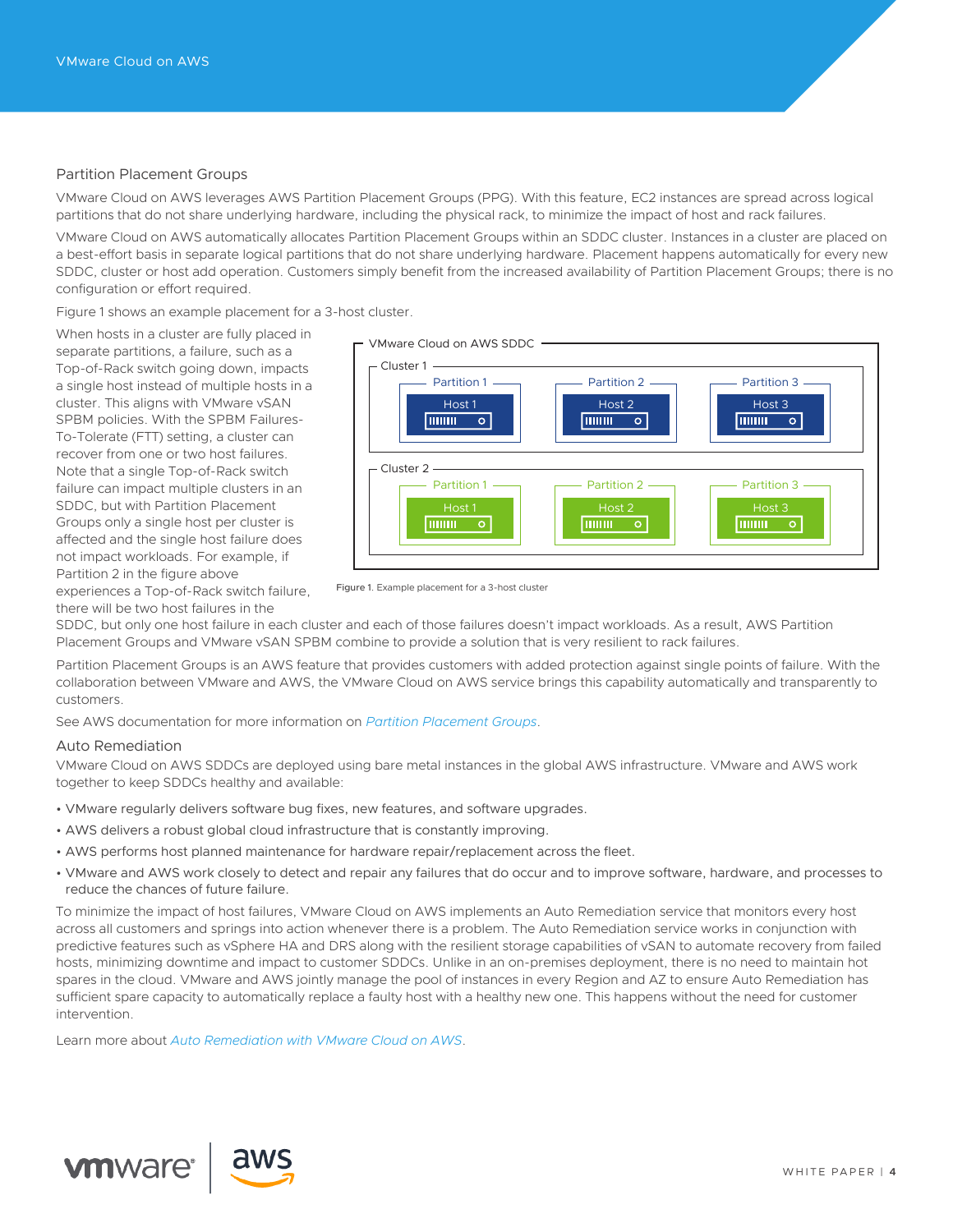# Partition Placement Groups

VMware Cloud on AWS leverages AWS Partition Placement Groups (PPG). With this feature, EC2 instances are spread across logical partitions that do not share underlying hardware, including the physical rack, to minimize the impact of host and rack failures.

VMware Cloud on AWS automatically allocates Partition Placement Groups within an SDDC cluster. Instances in a cluster are placed on a best-effort basis in separate logical partitions that do not share underlying hardware. Placement happens automatically for every new SDDC, cluster or host add operation. Customers simply benefit from the increased availability of Partition Placement Groups; there is no configuration or effort required.

Figure 1 shows an example placement for a 3-host cluster.

When hosts in a cluster are fully placed in separate partitions, a failure, such as a Top-of-Rack switch going down, impacts a single host instead of multiple hosts in a cluster. This aligns with VMware vSAN SPBM policies. With the SPBM Failures-To-Tolerate (FTT) setting, a cluster can recover from one or two host failures. Note that a single Top-of-Rack switch failure can impact multiple clusters in an SDDC, but with Partition Placement Groups only a single host per cluster is affected and the single host failure does not impact workloads. For example, if Partition 2 in the figure above experiences a Top-of-Rack switch failure,

there will be two host failures in the



Figure 1. Example placement for a 3-host cluster

SDDC, but only one host failure in each cluster and each of those failures doesn't impact workloads. As a result, AWS Partition Placement Groups and VMware vSAN SPBM combine to provide a solution that is very resilient to rack failures.

Partition Placement Groups is an AWS feature that provides customers with added protection against single points of failure. With the collaboration between VMware and AWS, the VMware Cloud on AWS service brings this capability automatically and transparently to customers.

See AWS documentation for more information on *[Partition Placement Groups](https://docs.aws.amazon.com/AWSEC2/latest/UserGuide/placement-groups.html#placement-groups-partition)*.

#### Auto Remediation

VMware Cloud on AWS SDDCs are deployed using bare metal instances in the global AWS infrastructure. VMware and AWS work together to keep SDDCs healthy and available:

- VMware regularly delivers software bug fixes, new features, and software upgrades.
- AWS delivers a robust global cloud infrastructure that is constantly improving.
- AWS performs host planned maintenance for hardware repair/replacement across the fleet.
- VMware and AWS work closely to detect and repair any failures that do occur and to improve software, hardware, and processes to reduce the chances of future failure.

To minimize the impact of host failures, VMware Cloud on AWS implements an Auto Remediation service that monitors every host across all customers and springs into action whenever there is a problem. The Auto Remediation service works in conjunction with predictive features such as vSphere HA and DRS along with the resilient storage capabilities of vSAN to automate recovery from failed hosts, minimizing downtime and impact to customer SDDCs. Unlike in an on-premises deployment, there is no need to maintain hot spares in the cloud. VMware and AWS jointly manage the pool of instances in every Region and AZ to ensure Auto Remediation has sufficient spare capacity to automatically replace a faulty host with a healthy new one. This happens without the need for customer intervention.

Learn more about *[Auto Remediation with VMware Cloud on AWS](https://cloud.vmware.com/community/2020/02/20/auto-remediation-vmware-cloud-aws-2/)*.

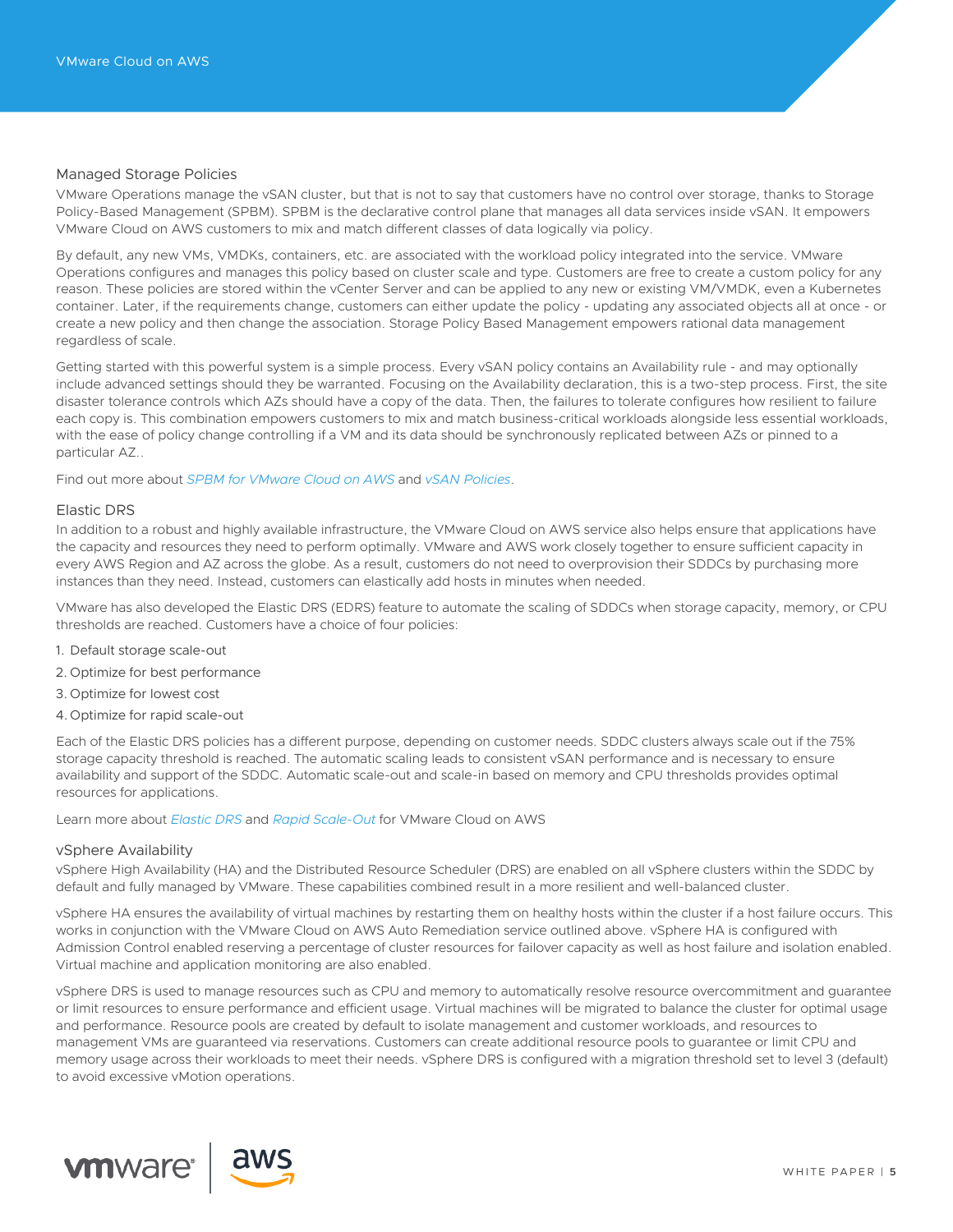# Managed Storage Policies

VMware Operations manage the vSAN cluster, but that is not to say that customers have no control over storage, thanks to Storage Policy-Based Management (SPBM). SPBM is the declarative control plane that manages all data services inside vSAN. It empowers VMware Cloud on AWS customers to mix and match different classes of data logically via policy.

By default, any new VMs, VMDKs, containers, etc. are associated with the workload policy integrated into the service. VMware Operations configures and manages this policy based on cluster scale and type. Customers are free to create a custom policy for any reason. These policies are stored within the vCenter Server and can be applied to any new or existing VM/VMDK, even a Kubernetes container. Later, if the requirements change, customers can either update the policy - updating any associated objects all at once - or create a new policy and then change the association. Storage Policy Based Management empowers rational data management regardless of scale.

Getting started with this powerful system is a simple process. Every vSAN policy contains an Availability rule - and may optionally include advanced settings should they be warranted. Focusing on the Availability declaration, this is a two-step process. First, the site disaster tolerance controls which AZs should have a copy of the data. Then, the failures to tolerate configures how resilient to failure each copy is. This combination empowers customers to mix and match business-critical workloads alongside less essential workloads, with the ease of policy change controlling if a VM and its data should be synchronously replicated between AZs or pinned to a particular AZ..

Find out more about *[SPBM for VMware Cloud on AWS](http://Managed Storage Policies
VMware Operations manage the vSAN cluster, but that is not to say that customers have no control over storage, thanks to Storage Policy-Based Management (SPBM). SPBM is the declarative control plane that manages all data services inside vSAN. It empowers VMware Cloud on AWS customers to mix and match different classes of data logically via policy. 
By default, any new VMs, VMDKs, containers, etc. are associated with the workload policy integrated into the service. VMware Operations configures and manages this policy based on cluster scale and type. Customers are free to create a custom policy for any reason. These policies are stored within the vCenter Server and can be applied to any new or existing VM/VMDK, even a Kubernetes container. Later, if the requirements change, customers can either update the policy - updating any associated objects all at once - or create a new policy and then change the association. Storage Policy Based Management empowers rational data management regardless of scale. 
Getting started with this powerful system is a simple process. Every vSAN policy contains an Availability rule - and may optionally include advanced settings should they be warranted. Focusing on the Availability declaration, this is a two-step process. First, the site disaster tolerance controls which AZs should have a copy of the data. Then, the failures to tolerate configures how resilient to failure each copy is. This combination empowers customers to mix and match business-critical workloads alongside less essential workloads, with the ease of policy change controlling if a VM and its data should be synchronously replicated between AZs or pinned to a particular AZ. 
Find out more about SPBM for VMware Cloud on AWS and vSAN Policies.
)* and *[vSAN Policies](https://docs.vmware.com/en/VMware-Cloud-on-AWS/services/com.vmware.vsphere.vmc-aws-manage-data-center-vms.doc/GUID-EDBB551B-51B0-421B-9C44-6ECB66ED660B.html)*.

# Elastic DRS

In addition to a robust and highly available infrastructure, the VMware Cloud on AWS service also helps ensure that applications have the capacity and resources they need to perform optimally. VMware and AWS work closely together to ensure sufficient capacity in every AWS Region and AZ across the globe. As a result, customers do not need to overprovision their SDDCs by purchasing more instances than they need. Instead, customers can elastically add hosts in minutes when needed.

VMware has also developed the Elastic DRS (EDRS) feature to automate the scaling of SDDCs when storage capacity, memory, or CPU thresholds are reached. Customers have a choice of four policies:

- 1. Default storage scale-out
- 2. Optimize for best performance
- 3. Optimize for lowest cost
- 4. Optimize for rapid scale-out

Each of the Elastic DRS policies has a different purpose, depending on customer needs. SDDC clusters always scale out if the 75% storage capacity threshold is reached. The automatic scaling leads to consistent vSAN performance and is necessary to ensure availability and support of the SDDC. Automatic scale-out and scale-in based on memory and CPU thresholds provides optimal resources for applications.

Learn more about *[Elastic DRS](https://cloud.vmware.com/community/2019/05/15/elastic-drs-vmware-cloud-aws/)* and *[Rapid Scale-Out](https://cloud.vmware.com/community/2020/04/16/rapid-scale-elastic-drs-vmware-cloud-aws/)* for VMware Cloud on AWS

#### vSphere Availability

vSphere High Availability (HA) and the Distributed Resource Scheduler (DRS) are enabled on all vSphere clusters within the SDDC by default and fully managed by VMware. These capabilities combined result in a more resilient and well-balanced cluster.

vSphere HA ensures the availability of virtual machines by restarting them on healthy hosts within the cluster if a host failure occurs. This works in conjunction with the VMware Cloud on AWS Auto Remediation service outlined above. vSphere HA is configured with Admission Control enabled reserving a percentage of cluster resources for failover capacity as well as host failure and isolation enabled. Virtual machine and application monitoring are also enabled.

vSphere DRS is used to manage resources such as CPU and memory to automatically resolve resource overcommitment and guarantee or limit resources to ensure performance and efficient usage. Virtual machines will be migrated to balance the cluster for optimal usage and performance. Resource pools are created by default to isolate management and customer workloads, and resources to management VMs are guaranteed via reservations. Customers can create additional resource pools to guarantee or limit CPU and memory usage across their workloads to meet their needs. vSphere DRS is configured with a migration threshold set to level 3 (default) to avoid excessive vMotion operations.

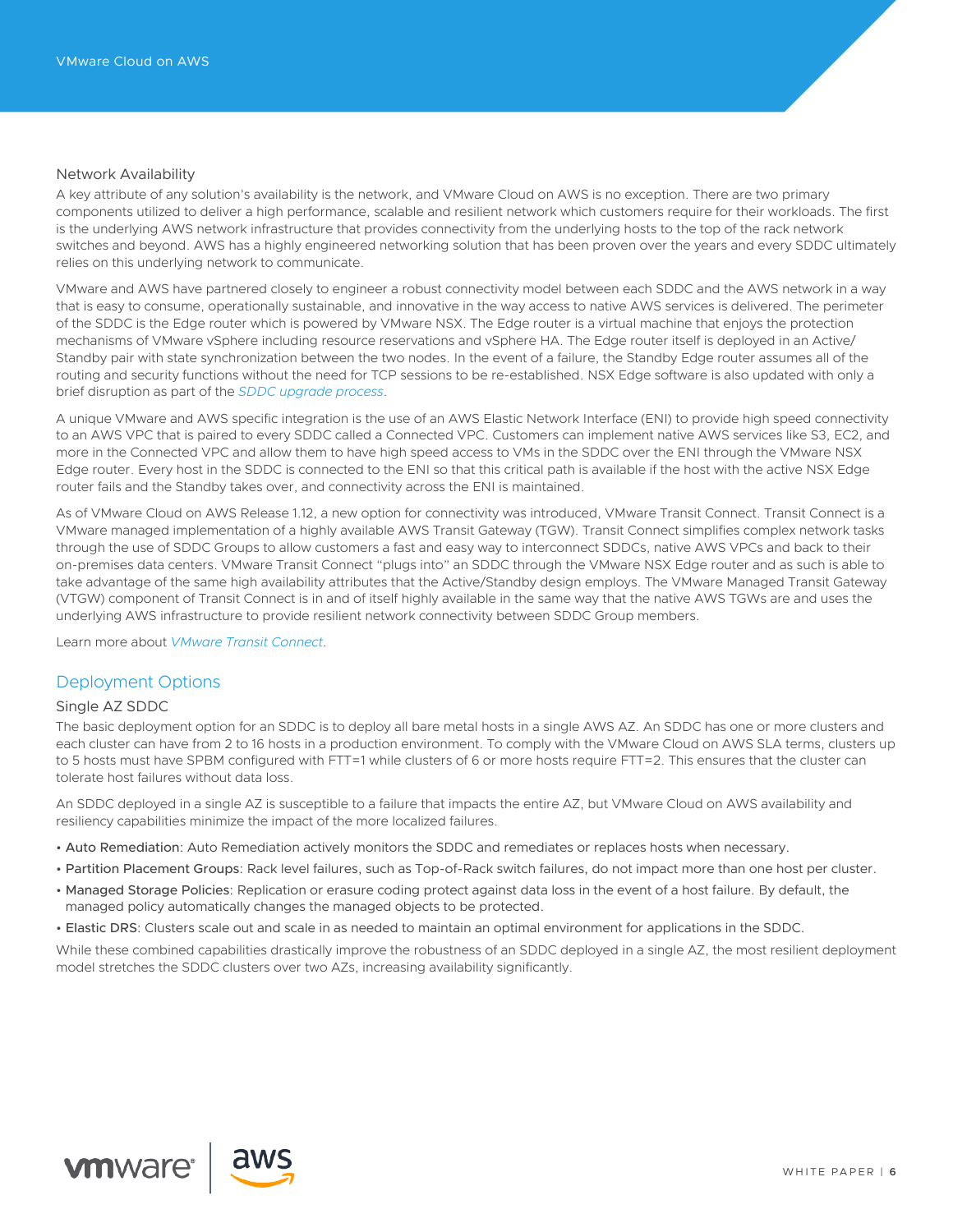# Network Availability

A key attribute of any solution's availability is the network, and VMware Cloud on AWS is no exception. There are two primary components utilized to deliver a high performance, scalable and resilient network which customers require for their workloads. The first is the underlying AWS network infrastructure that provides connectivity from the underlying hosts to the top of the rack network switches and beyond. AWS has a highly engineered networking solution that has been proven over the years and every SDDC ultimately relies on this underlying network to communicate.

VMware and AWS have partnered closely to engineer a robust connectivity model between each SDDC and the AWS network in a way that is easy to consume, operationally sustainable, and innovative in the way access to native AWS services is delivered. The perimeter of the SDDC is the Edge router which is powered by VMware NSX. The Edge router is a virtual machine that enjoys the protection mechanisms of VMware vSphere including resource reservations and vSphere HA. The Edge router itself is deployed in an Active/ Standby pair with state synchronization between the two nodes. In the event of a failure, the Standby Edge router assumes all of the routing and security functions without the need for TCP sessions to be re-established. NSX Edge software is also updated with only a brief disruption as part of the *[SDDC upgrade process](https://docs.vmware.com/en/VMware-Cloud-on-AWS/services/com.vmware.vmc-aws-operations/GUID-EE89B216-BE93-4A1A-9280-8F20E2A5266F.html)*.

A unique VMware and AWS specific integration is the use of an AWS Elastic Network Interface (ENI) to provide high speed connectivity to an AWS VPC that is paired to every SDDC called a Connected VPC. Customers can implement native AWS services like S3, EC2, and more in the Connected VPC and allow them to have high speed access to VMs in the SDDC over the ENI through the VMware NSX Edge router. Every host in the SDDC is connected to the ENI so that this critical path is available if the host with the active NSX Edge router fails and the Standby takes over, and connectivity across the ENI is maintained.

As of VMware Cloud on AWS Release 1.12, a new option for connectivity was introduced, VMware Transit Connect. Transit Connect is a VMware managed implementation of a highly available AWS Transit Gateway (TGW). Transit Connect simplifies complex network tasks through the use of SDDC Groups to allow customers a fast and easy way to interconnect SDDCs, native AWS VPCs and back to their on-premises data centers. VMware Transit Connect "plugs into" an SDDC through the VMware NSX Edge router and as such is able to take advantage of the same high availability attributes that the Active/Standby design employs. The VMware Managed Transit Gateway (VTGW) component of Transit Connect is in and of itself highly available in the same way that the native AWS TGWs are and uses the underlying AWS infrastructure to provide resilient network connectivity between SDDC Group members.

Learn more about *[VMware Transit Connect](https://blogs.vmware.com/networkvirtualization/2020/09/vmware-transit-connect-simplifying-networking-for-vmc.html/)*.

# Deployment Options

#### Single AZ SDDC

The basic deployment option for an SDDC is to deploy all bare metal hosts in a single AWS AZ. An SDDC has one or more clusters and each cluster can have from 2 to 16 hosts in a production environment. To comply with the VMware Cloud on AWS SLA terms, clusters up to 5 hosts must have SPBM configured with FTT=1 while clusters of 6 or more hosts require FTT=2. This ensures that the cluster can tolerate host failures without data loss.

An SDDC deployed in a single AZ is susceptible to a failure that impacts the entire AZ, but VMware Cloud on AWS availability and resiliency capabilities minimize the impact of the more localized failures.

- Auto Remediation: Auto Remediation actively monitors the SDDC and remediates or replaces hosts when necessary.
- Partition Placement Groups: Rack level failures, such as Top-of-Rack switch failures, do not impact more than one host per cluster.
- Managed Storage Policies: Replication or erasure coding protect against data loss in the event of a host failure. By default, the managed policy automatically changes the managed objects to be protected.
- Elastic DRS: Clusters scale out and scale in as needed to maintain an optimal environment for applications in the SDDC.

While these combined capabilities drastically improve the robustness of an SDDC deployed in a single AZ, the most resilient deployment model stretches the SDDC clusters over two AZs, increasing availability significantly.



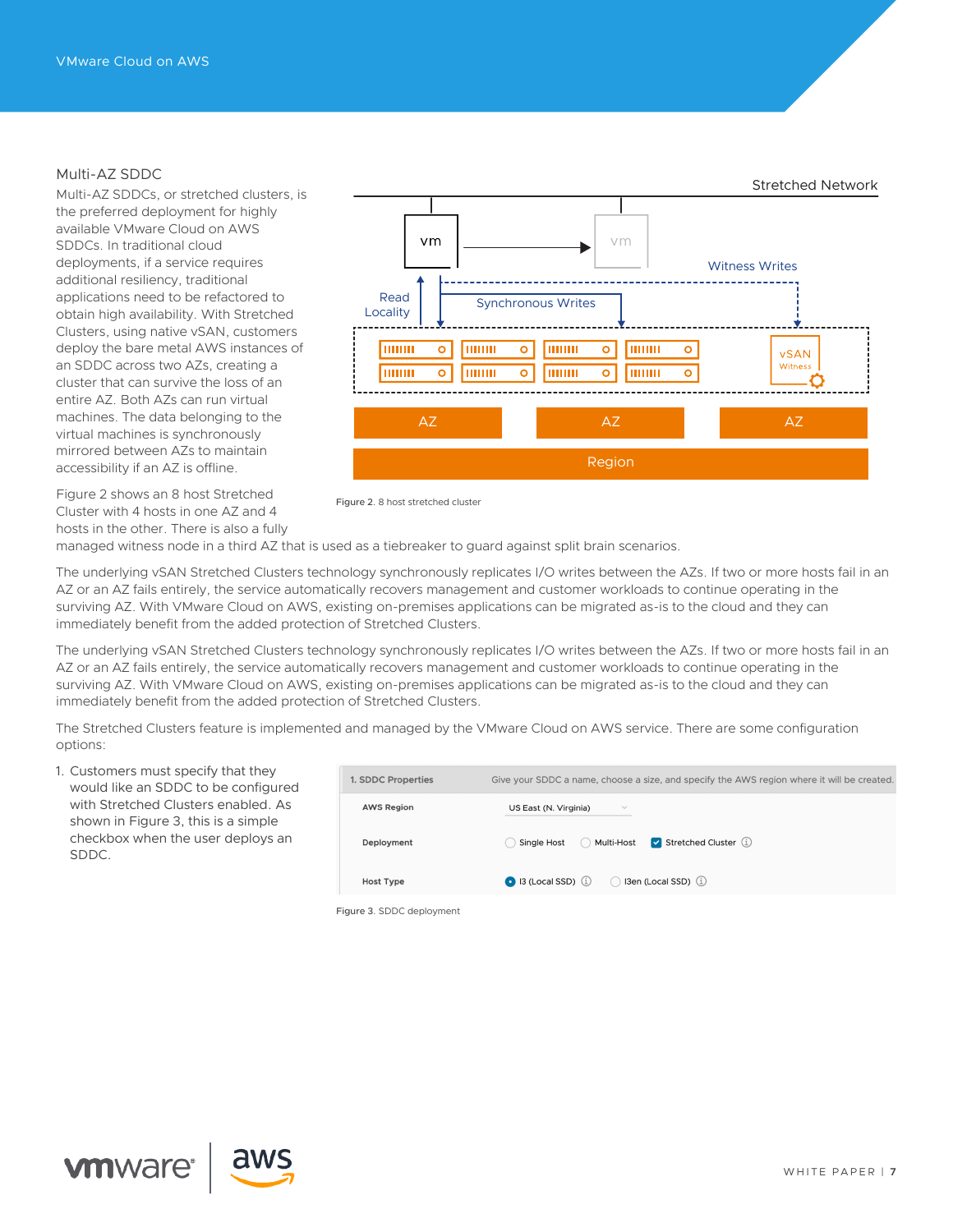# Multi-AZ SDDC

Multi-AZ SDDCs, or stretched clusters, is the preferred deployment for highly available VMware Cloud on AWS SDDCs. In traditional cloud deployments, if a service requires additional resiliency, traditional applications need to be refactored to obtain high availability. With Stretched Clusters, using native vSAN, customers deploy the bare metal AWS instances of an SDDC across two AZs, creating a cluster that can survive the loss of an entire AZ. Both AZs can run virtual machines. The data belonging to the virtual machines is synchronously mirrored between AZs to maintain accessibility if an AZ is offline.

Figure 2 shows an 8 host Stretched Cluster with 4 hosts in one AZ and 4 hosts in the other. There is also a fully



Figure 2. 8 host stretched cluster

managed witness node in a third AZ that is used as a tiebreaker to guard against split brain scenarios.

The underlying vSAN Stretched Clusters technology synchronously replicates I/O writes between the AZs. If two or more hosts fail in an AZ or an AZ fails entirely, the service automatically recovers management and customer workloads to continue operating in the surviving AZ. With VMware Cloud on AWS, existing on-premises applications can be migrated as-is to the cloud and they can immediately benefit from the added protection of Stretched Clusters.

The underlying vSAN Stretched Clusters technology synchronously replicates I/O writes between the AZs. If two or more hosts fail in an AZ or an AZ fails entirely, the service automatically recovers management and customer workloads to continue operating in the surviving AZ. With VMware Cloud on AWS, existing on-premises applications can be migrated as-is to the cloud and they can immediately benefit from the added protection of Stretched Clusters.

The Stretched Clusters feature is implemented and managed by the VMware Cloud on AWS service. There are some configuration options:

1. Customers must specify that they would like an SDDC to be configured with Stretched Clusters enabled. As shown in Figure 3, this is a simple checkbox when the user deploys an SDDC.

| 1. SDDC Properties        | Give your SDDC a name, choose a size, and specify the AWS region where it will be created. |
|---------------------------|--------------------------------------------------------------------------------------------|
| <b>AWS Region</b>         | US East (N. Virginia)<br>$\checkmark$                                                      |
| Deployment                | $\triangledown$ Stretched Cluster $(i)$<br>Single Host<br>Multi-Host                       |
| <b>Host Type</b>          | 13 (Local SSD) (i) (3en (Local SSD) (i)                                                    |
| Time 2 CDDC double amount |                                                                                            |

Figure 3. SDDC deployment



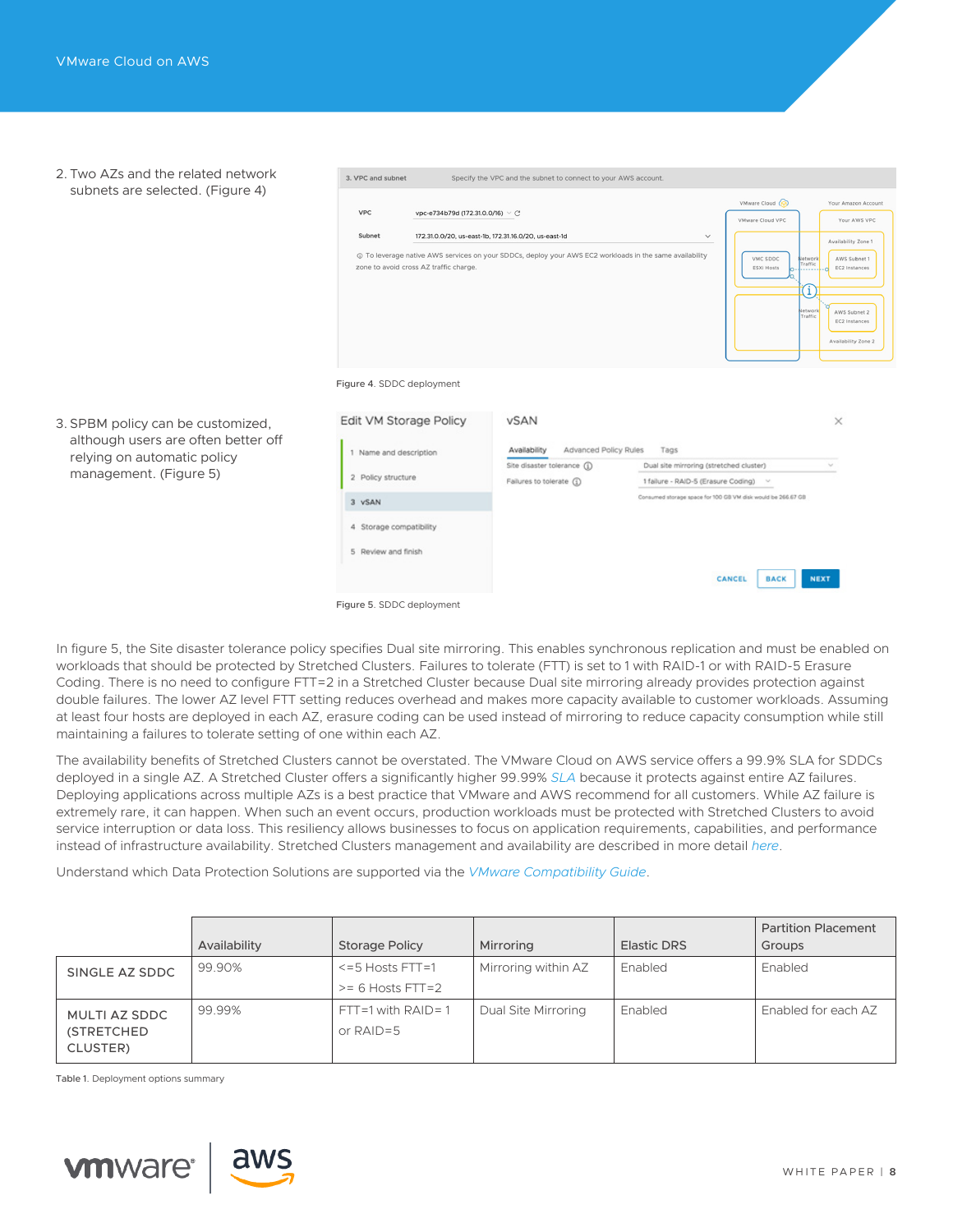2. Two AZs and the related network subnets are selected. (Figure 4)

3. SPBM policy can be customized, although users are often better off relying on automatic policy management. (Figure 5)

| <b>VPC</b>                                                                    | vpc-e734b79d (172.31.0.0/16) $\vee$ C |                                                                                                          |                                         | VMware Cloud (<br>VMware Cloud VPC                                              | Your Amazon Account<br>Your AWS VPC                                                        |
|-------------------------------------------------------------------------------|---------------------------------------|----------------------------------------------------------------------------------------------------------|-----------------------------------------|---------------------------------------------------------------------------------|--------------------------------------------------------------------------------------------|
| Subnet                                                                        |                                       | 172.31.0.0/20, us-east-1b, 172.31.16.0/20, us-east-1d                                                    | $\checkmark$                            |                                                                                 | Availability Zone 1                                                                        |
| zone to avoid cross AZ traffic charge.                                        |                                       | 10 To leverage native AWS services on your SDDCs, deploy your AWS EC2 workloads in the same availability |                                         | VMC SDDC<br>Vetwork<br>Traffic<br><b>ESXi Hosts</b><br>(i<br>Network<br>Traffic | AWS Subnet 1<br>EC2 Instances<br>o<br>AWS Subnet 2<br>EC2 Instances<br>Availability Zone 2 |
|                                                                               |                                       |                                                                                                          |                                         |                                                                                 |                                                                                            |
| Figure 4. SDDC deployment<br>Edit VM Storage Policy<br>1 Name and description |                                       | <b>vSAN</b><br>Availability<br>Advanced Policy Rules                                                     | Tags                                    |                                                                                 | ×                                                                                          |
|                                                                               |                                       | Site disaster tolerance (1)                                                                              | Dual site mirroring (stretched cluster) |                                                                                 |                                                                                            |
| 2 Policy structure                                                            |                                       | Failures to tolerate (1)                                                                                 | 1 failure - RAID-5 (Erasure Coding)     | $\sim$                                                                          |                                                                                            |
| 3 vSAN                                                                        |                                       |                                                                                                          |                                         | Consumed storage space for 100 GB VM disk would be 266.67 GB                    |                                                                                            |
| 4 Storage compatibility                                                       |                                       |                                                                                                          |                                         |                                                                                 |                                                                                            |
| 5 Review and finish                                                           |                                       |                                                                                                          |                                         |                                                                                 |                                                                                            |

In figure 5, the Site disaster tolerance policy specifies Dual site mirroring. This enables synchronous replication and must be enabled on workloads that should be protected by Stretched Clusters. Failures to tolerate (FTT) is set to 1 with RAID-1 or with RAID-5 Erasure Coding. There is no need to configure FTT=2 in a Stretched Cluster because Dual site mirroring already provides protection against double failures. The lower AZ level FTT setting reduces overhead and makes more capacity available to customer workloads. Assuming at least four hosts are deployed in each AZ, erasure coding can be used instead of mirroring to reduce capacity consumption while still maintaining a failures to tolerate setting of one within each AZ.

The availability benefits of Stretched Clusters cannot be overstated. The VMware Cloud on AWS service offers a 99.9% SLA for SDDCs deployed in a single AZ. A Stretched Cluster offers a significantly higher 99.99% *[SLA](http://In the figure above, the Site disaster tolerance policy specifies Dual site mirroring. This enables synchronous replication and must be enabled on workloads that should be protected by Stretched Clusters. Failures to tolerate (FTT) is set to 1 with RAID-1 or with RAID-5 Erasure Coding. There is no need to configure FTT=2 in a Stretched Cluster because Dual site mirroring already provides protection against double failures. The lower AZ level FTT setting reduces overhead and makes more capacity available to customer workloads. Assuming at least four hosts are deployed in each AZ, erasure coding can be used instead of mirroring to reduce capacity consumption while still maintaining a failures to tolerate setting of one within each AZ. 
The availability benefits of Stretched Clusters cannot be overstated. The VMware Cloud on AWS service offers a 99.9% SLA for SDDCs deployed in a single AZ. A Stretched Cluster offers a significantly higher 99.99% SLA because it protects against entire AZ failures. Deploying applications across multiple AZs is a best practice that VMware and AWS recommend for all customers. While AZ failure is extremely rare, it can happen. When such an event occurs, production workloads must be protected with Stretched Clusters to avoid service interruption or data loss. This resiliency allows businesses to focus on application requirements, capabilities, and performance instead of infrastructure availability.
Stretched Clusters management and availability are described in more detail here.
Deployment Options Summary

)* because it protects against entire AZ failures. Deploying applications across multiple AZs is a best practice that VMware and AWS recommend for all customers. While AZ failure is extremely rare, it can happen. When such an event occurs, production workloads must be protected with Stretched Clusters to avoid service interruption or data loss. This resiliency allows businesses to focus on application requirements, capabilities, and performance instead of infrastructure availability. Stretched Clusters management and availability are described in more detail *[here](https://blogs.vmware.com/virtualblocks/2018/05/15/relentless-availability-powered-vsan-stretched-clusters-vmware-cloud-aws/)*.

Understand which Data Protection Solutions are supported via the *[VMware Compatibility Guide](Understand which Data Protection Solutions are supported via the VMware Compatibility Guide.
Disaster Recovery
VMware offers two in-house DRaaS solutions supported on VMware Cloud on AWS. 
VMware Cloud Disaster Recovery: VMware Cloud Disaster Recovery offers easy to use, on demand disaster protection and recovery, delivered as a SaaS service, with cloud economics. It combines cost-efficient cloud storage with simple SaaS-based management for IT resiliency at scale, and customers benefit from a ‘pay when you need’ failover capacity model for DR resources. 
Leveraging the elasticity of cloud computing, VMware Cloud Disaster Recovery spins up VMware Cloud on AWS infrastructure only during a DR testing or failover event. It utilizes a highly efficient cloud storage layer for storing backups, lowering DR costs. It delivers fast recovery with zero copy and no rehydration of data from cloud storage to VMware Cloud on AWS hosts where the recovered VMs can be immediately powered-on. For longer term use, and achieving production-level performance, workloads can be migrated (using storage vMotion) to vSAN storage in the SDDC. Using optional pilot light clusters makes the recovery time even faster. VMs are maintained in their native VMware vSphere format, eliminating the need for brittle and time-consuming VM disk format conversions. Instant power-on of VMs is very powerful for rapid identification of the best recovery point when recovering from a ransomware attack. 
VMware Cloud Disaster Recovery can protect a very broad set of IT services in a cost-efficient manner, with fast recovery capabilities (On-demand DRaaS). 
Learn more about VMware Cloud Disaster Recovery here. 
VMware Site Recovery: It offers Disaster Recovery as-a-Service (DRaaS) for VMware Cloud on AWS. VMware Site Recovery can protect mission critical IT services that require very low RPO and RTO (Hot DRaaS). Automated workflows deploy the Site Recovery components inside the SDDC while VMware maintains and supports them. This further extends availability for customer workloads by protecting VMware Cloud on AWS SDDCs operating in one AWS Region with a failover target in another AWS Region.
VMware Site Recovery enables customers to create recovery plans that fully automate and orchestrate failovers, allowing IT teams to offload manual tasks during the recovery process. At the heart of the DR solution is Site Recovery Manager (SRM) and vSphere Replication (VR). This proven DR tool helps customers reduce risks during critical times. VMware Site Recovery has extensive built-in testing capabilities and enables customers to perform frequent non-disruptive DR tests that automatically generate detailed reports, reducing the exposure to disasters. 
Learn more about VMware Site Recovery here.
)*.

|                                                        | Availability | <b>Storage Policy</b>                      | Mirroring           | <b>Elastic DRS</b> | <b>Partition Placement</b><br>Groups |
|--------------------------------------------------------|--------------|--------------------------------------------|---------------------|--------------------|--------------------------------------|
| SINGLE AZ SDDC                                         | 99.90%       | $\le$ =5 Hosts FTT=1<br>$>= 6$ Hosts FTT=2 | Mirroring within AZ | Enabled            | Enabled                              |
| <b>MULTI AZ SDDC</b><br><b>(STRETCHED)</b><br>CLUSTER) | 99.99%       | $FTT = 1$ with $RAID = 1$<br>or $RAID = 5$ | Dual Site Mirroring | Enabled            | Enabled for each AZ                  |

Table 1. Deployment options summary

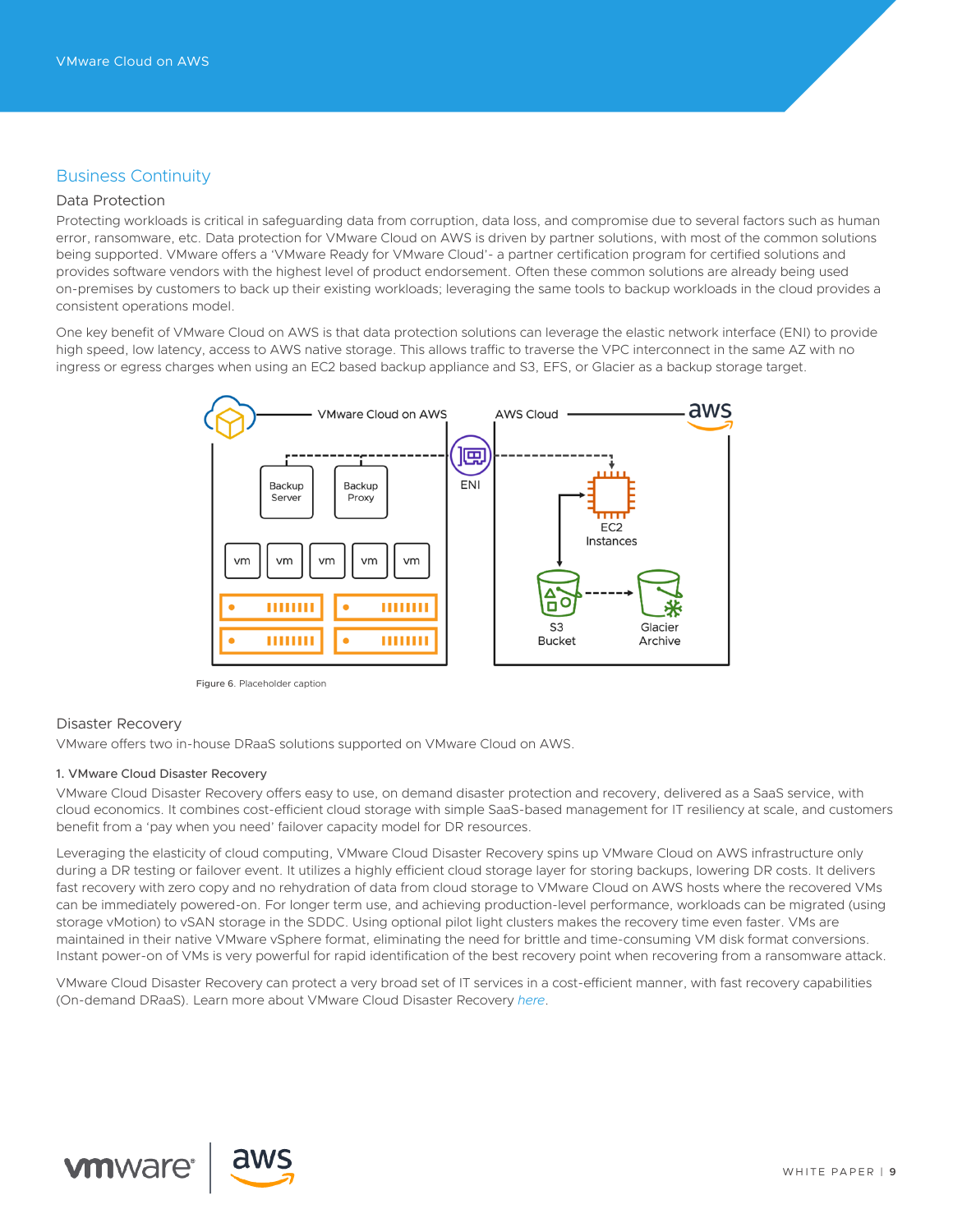# Business Continuity

# Data Protection

Protecting workloads is critical in safeguarding data from corruption, data loss, and compromise due to several factors such as human error, ransomware, etc. Data protection for VMware Cloud on AWS is driven by partner solutions, with most of the common solutions being supported. VMware offers a 'VMware Ready for VMware Cloud'- a partner certification program for certified solutions and provides software vendors with the highest level of product endorsement. Often these common solutions are already being used on-premises by customers to back up their existing workloads; leveraging the same tools to backup workloads in the cloud provides a consistent operations model.

One key benefit of VMware Cloud on AWS is that data protection solutions can leverage the elastic network interface (ENI) to provide high speed, low latency, access to AWS native storage. This allows traffic to traverse the VPC interconnect in the same AZ with no ingress or egress charges when using an EC2 based backup appliance and S3, EFS, or Glacier as a backup storage target.



Figure 6. Placeholder caption

# Disaster Recovery

VMware offers two in-house DRaaS solutions supported on VMware Cloud on AWS.

#### 1. VMware Cloud Disaster Recovery

VMware Cloud Disaster Recovery offers easy to use, on demand disaster protection and recovery, delivered as a SaaS service, with cloud economics. It combines cost-efficient cloud storage with simple SaaS-based management for IT resiliency at scale, and customers benefit from a 'pay when you need' failover capacity model for DR resources.

Leveraging the elasticity of cloud computing, VMware Cloud Disaster Recovery spins up VMware Cloud on AWS infrastructure only during a DR testing or failover event. It utilizes a highly efficient cloud storage layer for storing backups, lowering DR costs. It delivers fast recovery with zero copy and no rehydration of data from cloud storage to VMware Cloud on AWS hosts where the recovered VMs can be immediately powered-on. For longer term use, and achieving production-level performance, workloads can be migrated (using storage vMotion) to vSAN storage in the SDDC. Using optional pilot light clusters makes the recovery time even faster. VMs are maintained in their native VMware vSphere format, eliminating the need for brittle and time-consuming VM disk format conversions. Instant power-on of VMs is very powerful for rapid identification of the best recovery point when recovering from a ransomware attack.

VMware Cloud Disaster Recovery can protect a very broad set of IT services in a cost-efficient manner, with fast recovery capabilities (On-demand DRaaS). Learn more about VMware Cloud Disaster Recovery *[here](https://cloud.vmware.com/cloud-disaster-recovery)*.



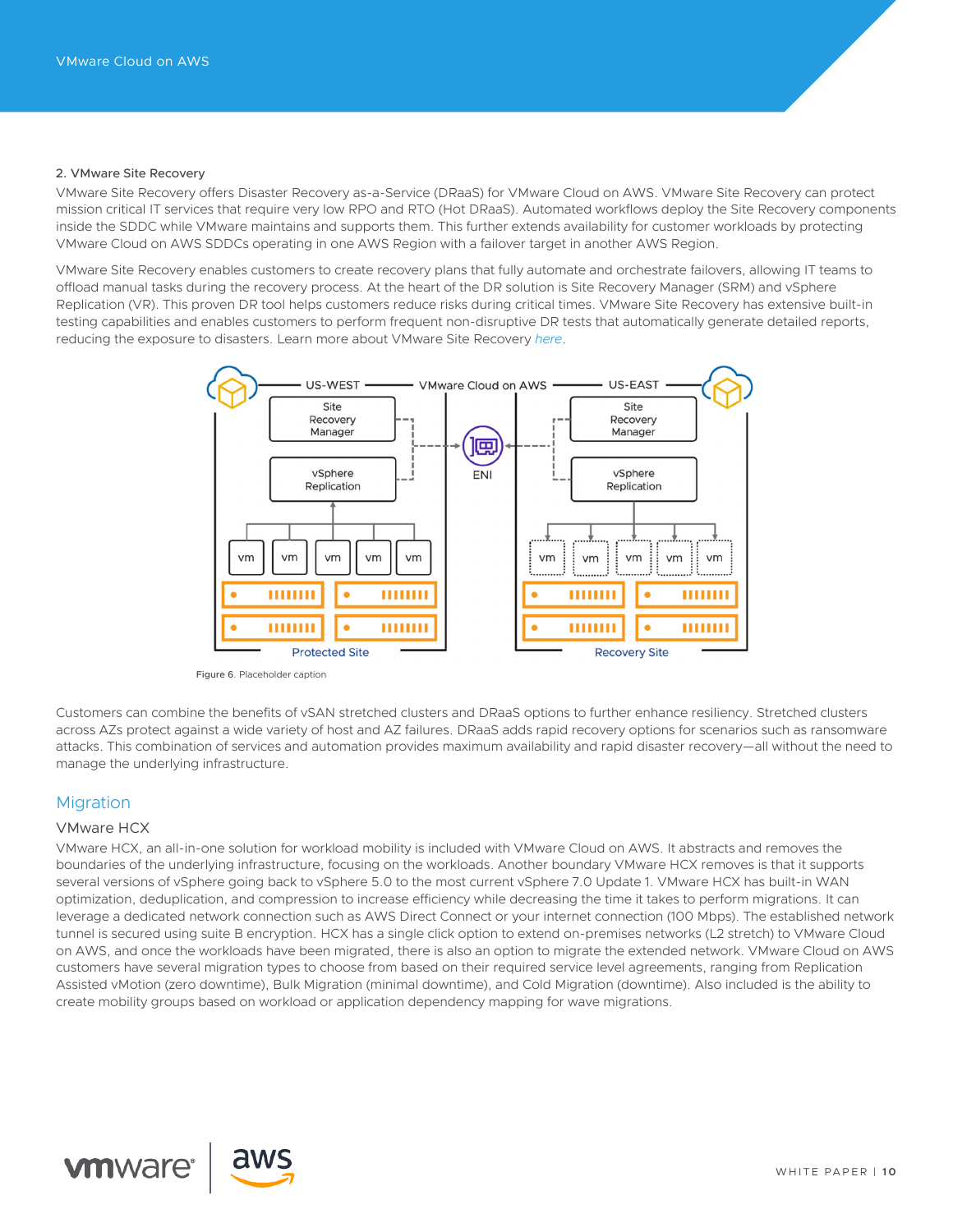#### 2. VMware Site Recovery

VMware Site Recovery offers Disaster Recovery as-a-Service (DRaaS) for VMware Cloud on AWS. VMware Site Recovery can protect mission critical IT services that require very low RPO and RTO (Hot DRaaS). Automated workflows deploy the Site Recovery components inside the SDDC while VMware maintains and supports them. This further extends availability for customer workloads by protecting VMware Cloud on AWS SDDCs operating in one AWS Region with a failover target in another AWS Region.

VMware Site Recovery enables customers to create recovery plans that fully automate and orchestrate failovers, allowing IT teams to offload manual tasks during the recovery process. At the heart of the DR solution is Site Recovery Manager (SRM) and vSphere Replication (VR). This proven DR tool helps customers reduce risks during critical times. VMware Site Recovery has extensive built-in testing capabilities and enables customers to perform frequent non-disruptive DR tests that automatically generate detailed reports, reducing the exposure to disasters. Learn more about VMware Site Recovery *[here](https://cloud.vmware.com/vmware-site-recovery)*.



Figure 6. Placeholder caption

Customers can combine the benefits of vSAN stretched clusters and DRaaS options to further enhance resiliency. Stretched clusters across AZs protect against a wide variety of host and AZ failures. DRaaS adds rapid recovery options for scenarios such as ransomware attacks. This combination of services and automation provides maximum availability and rapid disaster recovery—all without the need to manage the underlying infrastructure.

# Migration

#### VMware HCX

VMware HCX, an all-in-one solution for workload mobility is included with VMware Cloud on AWS. It abstracts and removes the boundaries of the underlying infrastructure, focusing on the workloads. Another boundary VMware HCX removes is that it supports several versions of vSphere going back to vSphere 5.0 to the most current vSphere 7.0 Update 1. VMware HCX has built-in WAN optimization, deduplication, and compression to increase efficiency while decreasing the time it takes to perform migrations. It can leverage a dedicated network connection such as AWS Direct Connect or your internet connection (100 Mbps). The established network tunnel is secured using suite B encryption. HCX has a single click option to extend on-premises networks (L2 stretch) to VMware Cloud on AWS, and once the workloads have been migrated, there is also an option to migrate the extended network. VMware Cloud on AWS customers have several migration types to choose from based on their required service level agreements, ranging from Replication Assisted vMotion (zero downtime), Bulk Migration (minimal downtime), and Cold Migration (downtime). Also included is the ability to create mobility groups based on workload or application dependency mapping for wave migrations.



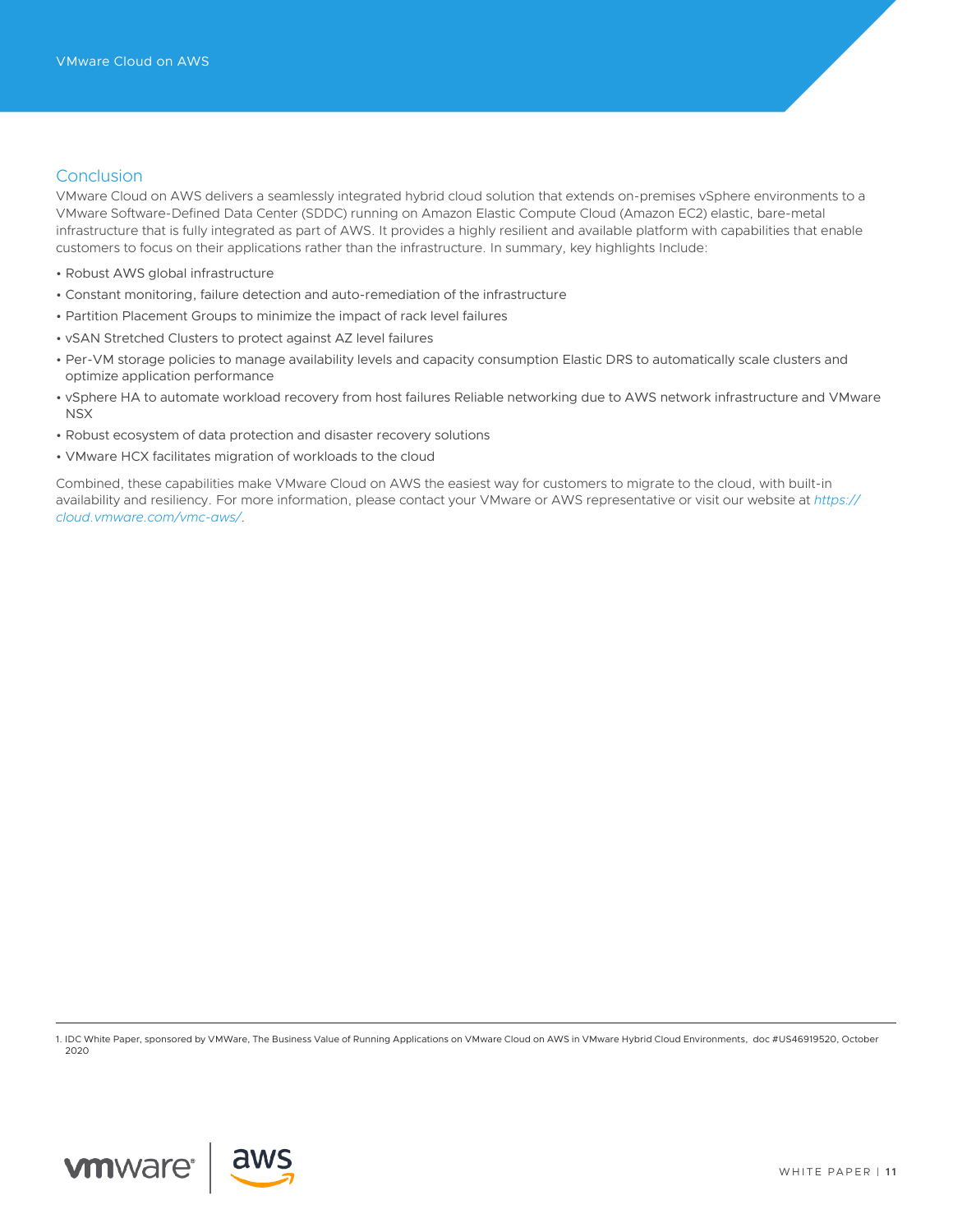# **Conclusion**

VMware Cloud on AWS delivers a seamlessly integrated hybrid cloud solution that extends on-premises vSphere environments to a VMware Software-Defined Data Center (SDDC) running on Amazon Elastic Compute Cloud (Amazon EC2) elastic, bare-metal infrastructure that is fully integrated as part of AWS. It provides a highly resilient and available platform with capabilities that enable customers to focus on their applications rather than the infrastructure. In summary, key highlights Include:

- Robust AWS global infrastructure
- Constant monitoring, failure detection and auto-remediation of the infrastructure
- Partition Placement Groups to minimize the impact of rack level failures
- vSAN Stretched Clusters to protect against AZ level failures
- Per-VM storage policies to manage availability levels and capacity consumption Elastic DRS to automatically scale clusters and optimize application performance
- vSphere HA to automate workload recovery from host failures Reliable networking due to AWS network infrastructure and VMware NSX
- Robust ecosystem of data protection and disaster recovery solutions
- VMware HCX facilitates migration of workloads to the cloud

Combined, these capabilities make VMware Cloud on AWS the easiest way for customers to migrate to the cloud, with built-in availability and resiliency. For more information, please contact your VMware or AWS representative or visit our website at *[https://](https://cloud.vmware.com/vmc-aws/) [cloud.vmware.com/vmc-aws/](https://cloud.vmware.com/vmc-aws/)*.

1. IDC White Paper, sponsored by VMWare, The Business Value of Running Applications on VMware Cloud on AWS in VMware Hybrid Cloud Environments, doc #US46919520, October 2020